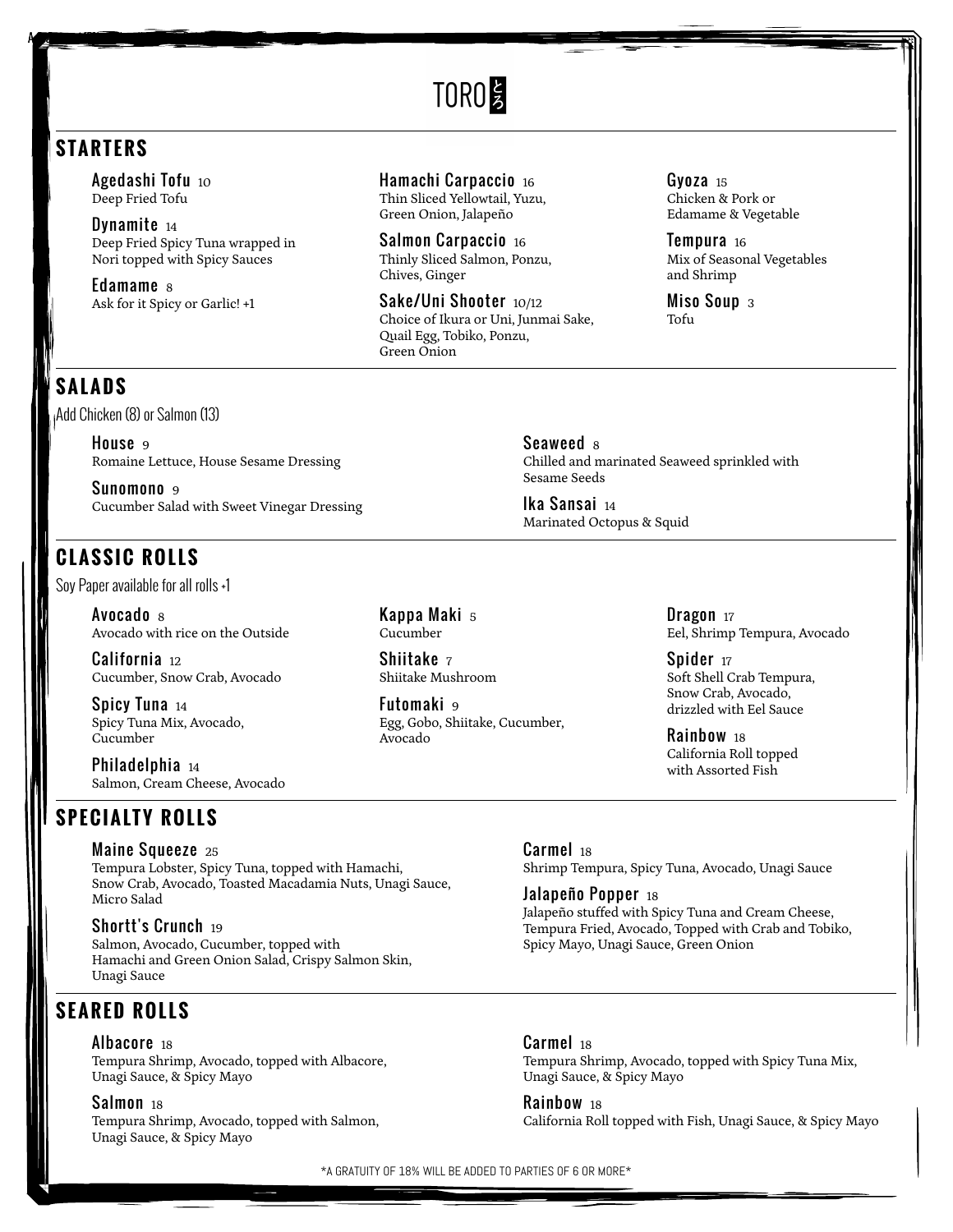# **TOROS**

#### **S TARTERS**

Agedashi Tofu 10 Deep Fried Tofu

 $A_{\alpha}$  at the characteristic added t of 6 or Mor articles of 6 or Mor articles of 6 or Mor articles of 6  $\alpha$ 

Green Onion, Jalapeño Edamame & Vegetable Dynamite <sup>14</sup> Deep Fried Spicy Tuna wrapped in Nori topped with Spicy Sauces

**Edamame** 8 **Chives, Ginger** 2 **Chives** 2 **Chives** 2 **Chives** 2 **Chives** 2 **Chives** 2 **Chives** 2 **Chives** 2 **Chives** 2 **Chives** 2 **Chives** 2 **Chives** 2 **Chives** 2 **Chives** 2 **Chives** 2 **Chives** 2 **Chives** 2 **Chives** 2 **Chi** Ask for it Spicy or Garlic!  $+1$  Sake/Uni Shooter  $10/12$ 

Hamachi Carpaccio 16 Thin Sliced Yellowtail, Yuzu,

Salmon Carpaccio 16 Thinly Sliced Salmon, Ponzu, Chives, Ginger

Choice of Ikura or Uni, Junmai Sake, Quail Egg, Tobiko, Ponzu, Green Onion

Seaweed 8

Marinated Octopus & Squid

Gyoza 15 Chicken & Pork or

Tempura 16 Mix of Seasonal Vegetables

Miso Soup 3 Tofu

Chilled and marinated Seaweed sprinkled with

## **SALADS**

Add Chicken (8) or Salmon (13)

House 9 Romaine Lettuce, House Sesame Dressing

Sesame Seeds Sunomono <sup>9</sup> Cucumber Salad with Sweet Vinegar Dressing Ican Sansai 14

## **CLASSIC ROLLS**

Soy Paper available for all rolls +1

Avocado 8 Avocado with rice on the Outside

California 12 Cucumber, Snow Crab, Avocado

Spicy Tuna Mix, Avocado, Cucumber

California Roll topped Philadelphia <sup>14</sup> with Assorted Fish Salmon, Cream Cheese, Avocado

#### **SPECIALTY ROLLS**

Maine Squeeze 25 Tempura Lobster, Spicy Tuna, topped with Hamachi,

Snow Crab, Avocado, Toasted Macadamia Nuts, Unagi Sauce, Micro Salad

#### Shortt's Crunch 19

Salmon, Avocado, Cucumber, topped with Hamachi and Green Onion Salad, Crispy Salmon Skin, Unagi Sauce

#### **SEARED ROLLS**

#### Albacore 18

Tempura Shrimp, Avocado, topped with Albacore, Unagi Sauce, & Spicy Mayo

Salmon 18

Tempura Shrimp, Avocado, topped with Salmon, Unagi Sauce, & Spicy Mayo

Kappa Maki 5 Cucumber

Shiitake 7 Shiitake Mushroom

Futomaki 9 Egg, Gobo, Shiitake, Cucumber, Dragon 17 Eel, Shrimp Tempura, Avocado

Spider 17 Soft Shell Crab Tempura, Spicy Tuna 14 deeds to the Superior of Tuna 14 and Superior Show Crab, Avocado, and Sauce Spicy Tuna 14 deeds to the Sauce of Tuna 14 and Sauce of Tuna 14 and Sauce of Tuna 15 and Sauce of Tuna 15 and Sauce of Tuna 15 and

Avocado **Rainbow** 18<br>California Roll topped California Roll topped

Garmel 18 Shrimp Tempura, Spicy Tuna, Avocado, Unagi Sauce

Jalapeño Popper 18 Jalapeño stuffed with Spicy Tuna and Cream Cheese, Tempura Fried, Avocado, Topped with Crab and Tobiko, Spicy Mayo, Unagi Sauce, Green Onion

Garmel 18 Tempura Shrimp, Avocado, topped with Spicy Tuna Mix, Unagi Sauce, & Spicy Mayo

Rainbow 18 California Roll topped with Fish, Unagi Sauce, & Spicy Mayo

\*A GRATUITY OF 18% WILL BE ADDED TO PARTIES OF 6 OR MORE\*